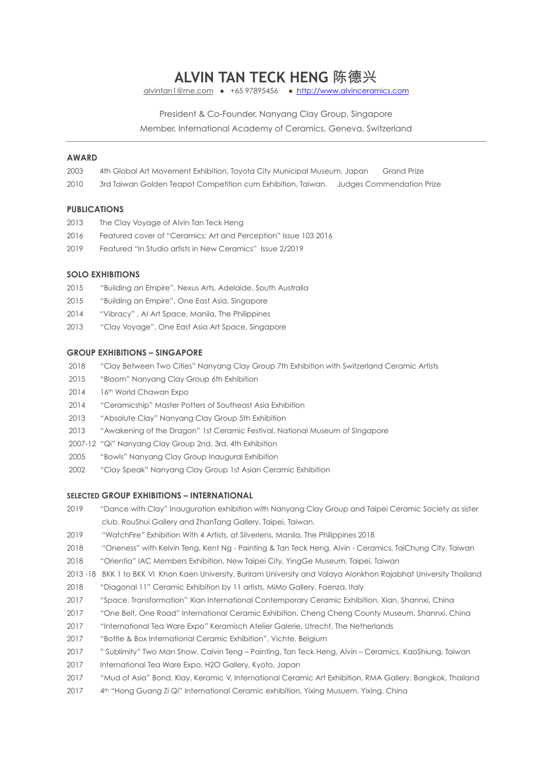# **ALVIN TAN TECK HENG** 陈德兴

alvintan1@me.com ● +65 97895456 ● <http://www.alvinceramics.com>

President & Co-Founder, Nanyang Clay Group, Singapore

Member, International Academy of Ceramics, Geneva, Switzerland

# **AWARD**

- 2003 4th Global Art Movement Exhibition, Toyota City Municipal Museum, Japan Grand Prize
- 2010 3rd Taiwan Golden Teapot Competition cum Exhibition, Taiwan. Judges Commendation Prize

#### **PUBLICATIONS**

- 2013 The Clay Voyage of Alvin Tan Teck Heng
- 2016 Featured cover of "Ceramics: Art and Perception" Issue 103 2016
- 2019 Featured "In Studio artists in New Ceramics" Issue 2/2019

#### **SOLO EXHIBITIONS**

- 2015 "Building an Empire", Nexus Arts, Adelaide, South Australia
- 2015 "Building an Empire", One East Asia, Singapore
- 2014 "Vibracy" , AI Art Space, Manila, The Philippines
- 2013 "Clay Voyage", One East Asia Art Space, Singapore

### **GROUP EXHIBITIONS – SINGAPORE**

- 2018 "Clay Between Two Cities" Nanyang Clay Group 7th Exhibition with Switzerland Ceramic Artists
- 2015 "Bloom" Nanyang Clay Group 6th Exhibition
- 2014 16th World Chawan Expo
- 2014 "Ceramicship" Master Potters of Southeast Asia Exhibition
- 2013 "Absolute Clay" Nanyang Clay Group 5th Exhibition
- 2013 "Awakening of the Dragon" 1st Ceramic Festival, National Museum of SIngapore
- 2007-12 "Qi" Nanyang Clay Group 2nd, 3rd, 4th Exhibition
- 2005 "Bowls" Nanyang Clay Group Inaugural Exhibition
- 2002 "Clay Speak" Nanyang Clay Group 1st Asian Ceramic Exhibition

### **SELECTED GROUP EXHIBITIONS – INTERNATIONAL**

- 2019 "Dance with Clay" Inauguration exhibition with Nanyang Clay Group and Taipei Ceramic Society as sister club. RouShui Gallery and ZhanTang Gallery, Taipei, Taiwan.
- 2019 "WatchFire" Exhibition With 4 Artists, at Silverlens, Manila, The Philippines 2018
- 2018 "Oneness" with Kelvin Teng, Kent Ng Painting & Tan Teck Heng, Alvin Ceramics, TaiChung City, Taiwan
- 2018 "Orientia" IAC Members Exhibition, New Taipei City, YingGe Museum, Taipei, Taiwan
- 2013 -18 BKK 1 to BKK VI Khon Kaen University, Buriram University and Valaya Alonkhon Rajabhat University Thailand
- 2018 "Diagonal 11" Ceramic Exhibition by 11 artists, MiMo Gallery, Faenza, Italy
- 2017 "Space. Transformation" Xian International Contemporary Ceramic Exhibition, Xian, Shannxi, China
- 2017 "One Belt, One Road" International Ceramic Exhibition, Cheng Cheng County Museum, Shannxi, China
- 2017 "International Tea Ware Expo" Keramisch Atelier Galerie, Utrecht, The Netherlands
- 2017 "Bottle & Box International Ceramic Exhibition", Vichte, Belgium
- 2017 " Sublimity" Two Man Show, Calvin Teng Painting, Tan Teck Heng, Alvin Ceramics, KaoShiung, Taiwan
- 2017 International Tea Ware Expo, H2O Gallery, Kyoto, Japan
- 2017 "Mud of Asia" Bond, Klay, Keramic V, International Ceramic Art Exhibition, RMA Gallery, Bangkok, Thailand
- 2017 4th "Hong Guang Zi Qi" International Ceramic exhibition, Yixing Musuem, Yixing, China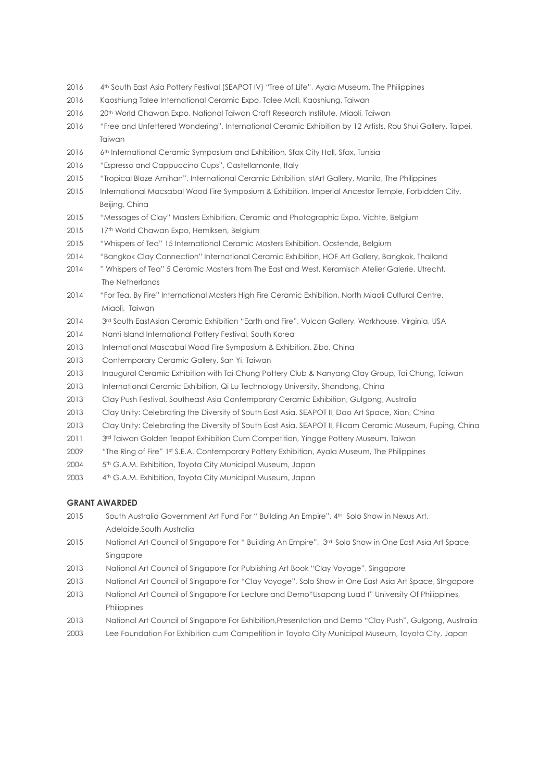- 2016 4th South East Asia Pottery Festival (SEAPOT IV) "Tree of Life", Ayala Museum, The Philippines
- 2016 Kaoshiung Talee International Ceramic Expo, Talee Mall, Kaoshiung, Taiwan
- 2016 20th World Chawan Expo, National Taiwan Craft Research Institute, Miaoli, Taiwan
- 2016 "Free and Unfettered Wondering", International Ceramic Exhibition by 12 Artists, Rou Shui Gallery, Taipei, Taiwan
- 2016 6th International Ceramic Symposium and Exhibition, Sfax City Hall, Sfax, Tunisia
- 2016 "Espresso and Cappuccino Cups", Castellamonte, Italy
- 2015 "Tropical Blaze Amihan", International Ceramic Exhibition, stArt Gallery, Manila, The Philippines
- 2015 International Macsabal Wood Fire Symposium & Exhibition, Imperial Ancestor Temple, Forbidden City, Beijing, China
- 2015 "Messages of Clay" Masters Exhibition, Ceramic and Photographic Expo, Vichte, Belgium
- 2015 17<sup>th</sup> World Chawan Expo, Hemiksen, Belgium
- 2015 "Whispers of Tea" 15 International Ceramic Masters Exhibition. Oostende, Belgium
- 2014 "Bangkok Clay Connection" International Ceramic Exhibition, HOF Art Gallery, Bangkok, Thailand
- 2014 " Whispers of Tea" 5 Ceramic Masters from The East and West, Keramisch Atelier Galerie, Utrecht, The Netherlands
- 2014 "For Tea, By Fire" International Masters High Fire Ceramic Exhibition, North Miaoli Cultural Centre, Miaoli, Taiwan
- 2014 3rd South EastAsian Ceramic Exhibition "Earth and Fire", Vulcan Gallery, Workhouse, Virginia, USA
- 2014 Nami Island International Pottery Festival, South Korea
- 2013 International Mascabal Wood Fire Symposium & Exhibition, Zibo, China
- 2013 Contemporary Ceramic Gallery, San Yi, Taiwan
- 2013 Inaugural Ceramic Exhibition with Tai Chung Pottery Club & Nanyang Clay Group, Tai Chung, Taiwan
- 2013 International Ceramic Exhibition, Qi Lu Technology University, Shandong, China
- 2013 Clay Push Festival, Southeast Asia Contemporary Ceramic Exhibition, Gulgong, Australia
- 2013 Clay Unity: Celebrating the Diversity of South East Asia, SEAPOT II, Dao Art Space, Xian, China
- 2013 Clay Unity: Celebrating the Diversity of South East Asia, SEAPOT II, Flicam Ceramic Museum, Fuping, China
- 2011 3rd Taiwan Golden Teapot Exhibition Cum Competition, Yingge Pottery Museum, Taiwan
- 2009 "The Ring of Fire" 1st S.E.A. Contemporary Pottery Exhibition, Ayala Museum, The Philippines
- 2004 5th G.A.M. Exhibition, Toyota City Municipal Museum, Japan
- 2003 4<sup>th</sup> G.A.M. Exhibition, Toyota City Municipal Museum, Japan

## **GRANT AWARDED**

- 2015 South Australia Government Art Fund For " Building An Empire", 4th Solo Show in Nexus Art, Adelaide,South Australia
- 2015 National Art Council of Singapore For " Building An Empire", 3rd Solo Show in One East Asia Art Space, Singapore
- 2013 National Art Council of Singapore For Publishing Art Book "Clay Voyage", Singapore
- 2013 National Art Council of Singapore For "Clay Voyage", Solo Show in One East Asia Art Space, SIngapore
- 2013 National Art Council of Singapore For Lecture and Demo"Usapang Luad I" University Of Philippines, Philippines
- 2013 National Art Council of Singapore For Exhibition,Presentation and Demo "Clay Push", Gulgong, Australia
- 2003 Lee Foundation For Exhibition cum Competition in Toyota City Municipal Museum, Toyota City, Japan